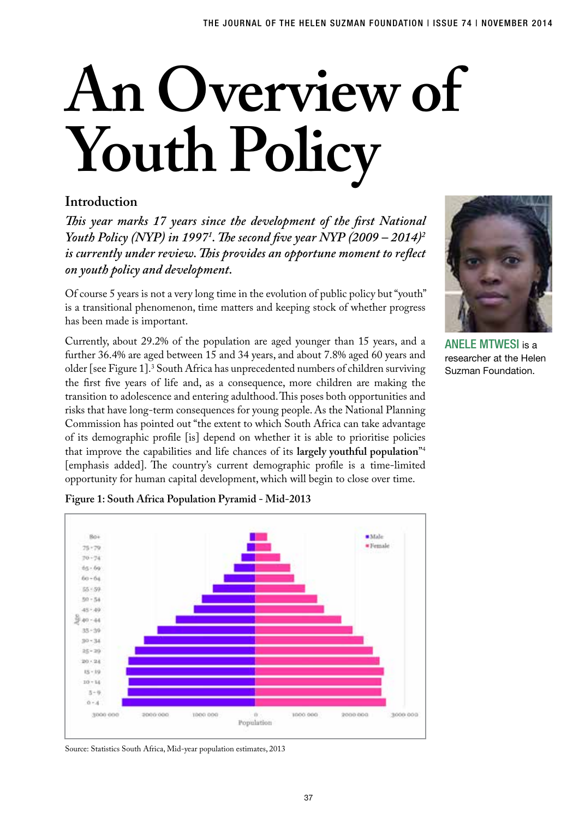# **An Overview of Youth Policy**

# **Introduction**

*This year marks 17 years since the development of the first National Youth Policy (NYP) in 19971 . The second five year NYP (2009 – 2014)2 is currently under review. This provides an opportune moment to reflect on youth policy and development.* 

Of course 5 years is not a very long time in the evolution of public policy but "youth" is a transitional phenomenon, time matters and keeping stock of whether progress has been made is important.

Currently, about 29.2% of the population are aged younger than 15 years, and a further 36.4% are aged between 15 and 34 years, and about 7.8% aged 60 years and older [see Figure 1].3 South Africa has unprecedented numbers of children surviving the first five years of life and, as a consequence, more children are making the transition to adolescence and entering adulthood. This poses both opportunities and risks that have long-term consequences for young people. As the National Planning Commission has pointed out "the extent to which South Africa can take advantage of its demographic profile [is] depend on whether it is able to prioritise policies that improve the capabilities and life chances of its **largely youthful population**"4 [emphasis added]. The country's current demographic profile is a time-limited opportunity for human capital development, which will begin to close over time.



ANELE MTWESL is a researcher at the Helen Suzman Foundation.



**Figure 1: South Africa Population Pyramid - Mid-2013** 

Source: Statistics South Africa, Mid-year population estimates, 2013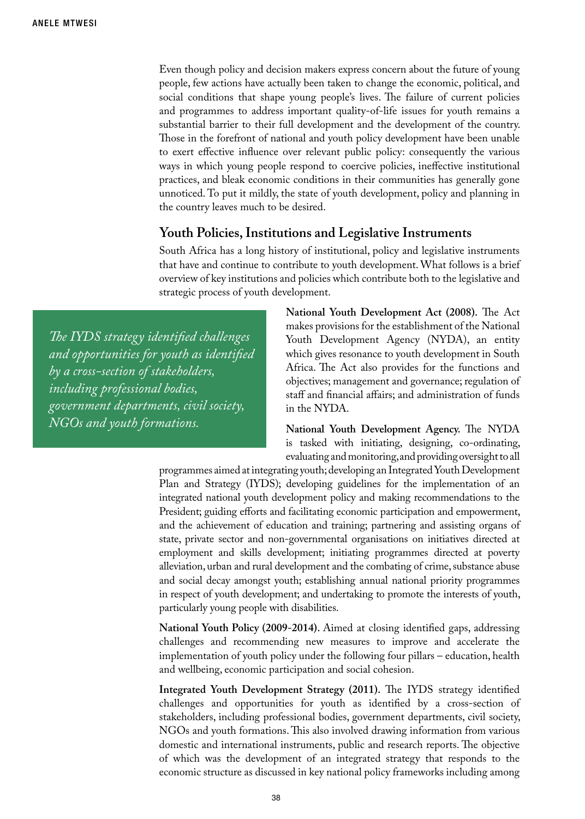Even though policy and decision makers express concern about the future of young people, few actions have actually been taken to change the economic, political, and social conditions that shape young people's lives. The failure of current policies and programmes to address important quality-of-life issues for youth remains a substantial barrier to their full development and the development of the country. Those in the forefront of national and youth policy development have been unable to exert effective influence over relevant public policy: consequently the various ways in which young people respond to coercive policies, ineffective institutional practices, and bleak economic conditions in their communities has generally gone unnoticed. To put it mildly, the state of youth development, policy and planning in the country leaves much to be desired.

### **Youth Policies, Institutions and Legislative Instruments**

South Africa has a long history of institutional, policy and legislative instruments that have and continue to contribute to youth development. What follows is a brief overview of key institutions and policies which contribute both to the legislative and strategic process of youth development.

*The IYDS strategy identified challenges and opportunities for youth as identified by a cross-section of stakeholders, including professional bodies, government departments, civil society, NGOs and youth formations.* 

**National Youth Development Act (2008).** The Act makes provisions for the establishment of the National Youth Development Agency (NYDA), an entity which gives resonance to youth development in South Africa. The Act also provides for the functions and objectives; management and governance; regulation of staff and financial affairs; and administration of funds in the NYDA.

**National Youth Development Agency.** The NYDA is tasked with initiating, designing, co-ordinating, evaluating and monitoring, and providing oversight to all

programmes aimed at integrating youth; developing an Integrated Youth Development Plan and Strategy (IYDS); developing guidelines for the implementation of an integrated national youth development policy and making recommendations to the President; guiding efforts and facilitating economic participation and empowerment, and the achievement of education and training; partnering and assisting organs of state, private sector and non-governmental organisations on initiatives directed at employment and skills development; initiating programmes directed at poverty alleviation, urban and rural development and the combating of crime, substance abuse and social decay amongst youth; establishing annual national priority programmes in respect of youth development; and undertaking to promote the interests of youth, particularly young people with disabilities.

**National Youth Policy (2009-2014).** Aimed at closing identified gaps, addressing challenges and recommending new measures to improve and accelerate the implementation of youth policy under the following four pillars – education, health and wellbeing, economic participation and social cohesion.

**Integrated Youth Development Strategy (2011).** The IYDS strategy identified challenges and opportunities for youth as identified by a cross-section of stakeholders, including professional bodies, government departments, civil society, NGOs and youth formations. This also involved drawing information from various domestic and international instruments, public and research reports. The objective of which was the development of an integrated strategy that responds to the economic structure as discussed in key national policy frameworks including among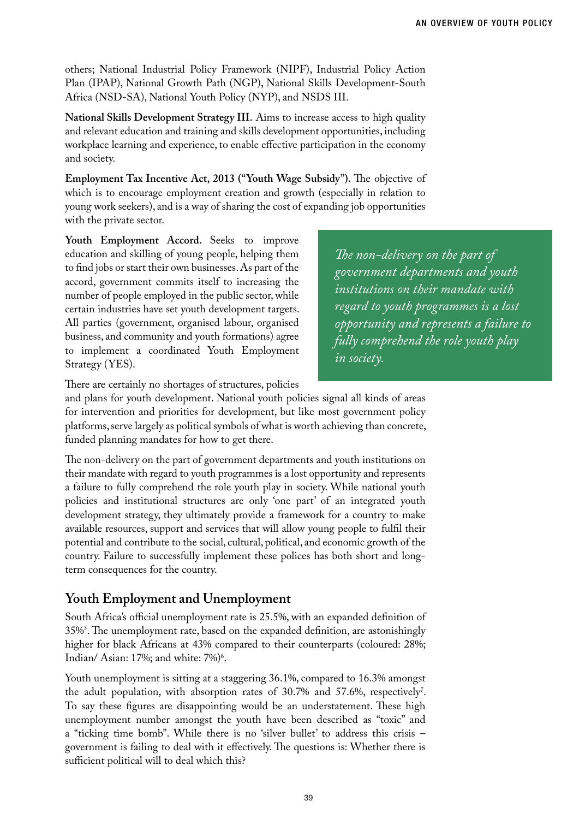others; National Industrial Policy Framework (NIPF), Industrial Policy Action Plan (IPAP), National Growth Path (NGP), National Skills Development-South Africa (NSD-SA), National Youth Policy (NYP), and NSDS III.

**National Skills Development Strategy III.** Aims to increase access to high quality and relevant education and training and skills development opportunities, including workplace learning and experience, to enable effective participation in the economy and society.

**Employment Tax Incentive Act, 2013 ("Youth Wage Subsidy").** The objective of which is to encourage employment creation and growth (especially in relation to young work seekers), and is a way of sharing the cost of expanding job opportunities with the private sector.

**Youth Employment Accord.** Seeks to improve education and skilling of young people, helping them to find jobs or start their own businesses. As part of the accord, government commits itself to increasing the number of people employed in the public sector, while certain industries have set youth development targets. All parties (government, organised labour, organised business, and community and youth formations) agree to implement a coordinated Youth Employment Strategy (YES).

*The non-delivery on the part of government departments and youth institutions on their mandate with regard to youth programmes is a lost opportunity and represents a failure to fully comprehend the role youth play in society.* 

There are certainly no shortages of structures, policies

and plans for youth development. National youth policies signal all kinds of areas for intervention and priorities for development, but like most government policy platforms, serve largely as political symbols of what is worth achieving than concrete, funded planning mandates for how to get there.

The non-delivery on the part of government departments and youth institutions on their mandate with regard to youth programmes is a lost opportunity and represents a failure to fully comprehend the role youth play in society. While national youth policies and institutional structures are only 'one part' of an integrated youth development strategy, they ultimately provide a framework for a country to make available resources, support and services that will allow young people to fulfil their potential and contribute to the social, cultural, political, and economic growth of the country. Failure to successfully implement these polices has both short and longterm consequences for the country.

# **Youth Employment and Unemployment**

South Africa's official unemployment rate is 25.5%, with an expanded definition of 35%5 . The unemployment rate, based on the expanded definition, are astonishingly higher for black Africans at 43% compared to their counterparts (coloured: 28%; Indian/ Asian: 17%; and white: 7%)<sup>6</sup>.

Youth unemployment is sitting at a staggering 36.1%, compared to 16.3% amongst the adult population, with absorption rates of  $30.7\%$  and  $57.6\%$ , respectively<sup>7</sup>. To say these figures are disappointing would be an understatement. These high unemployment number amongst the youth have been described as "toxic" and a "ticking time bomb". While there is no 'silver bullet' to address this crisis – government is failing to deal with it effectively. The questions is: Whether there is sufficient political will to deal which this?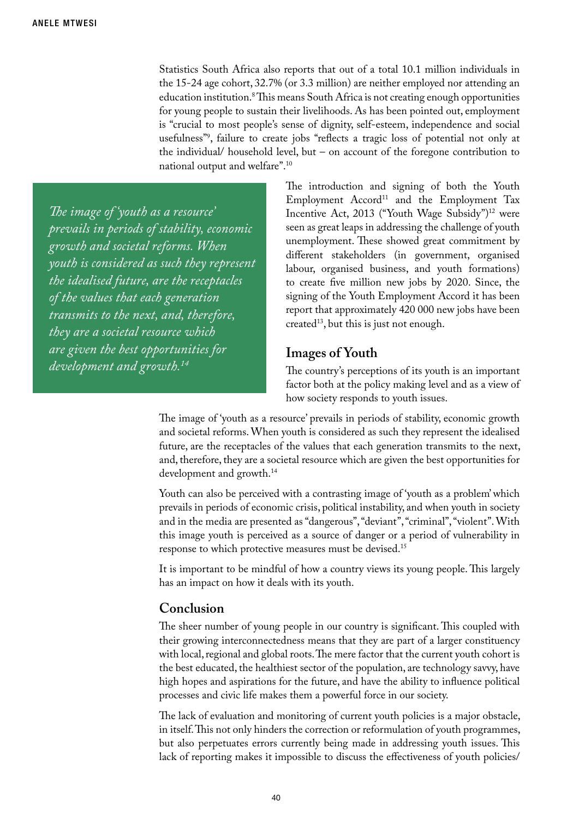Statistics South Africa also reports that out of a total 10.1 million individuals in the 15-24 age cohort, 32.7% (or 3.3 million) are neither employed nor attending an education institution.8 This means South Africa is not creating enough opportunities for young people to sustain their livelihoods. As has been pointed out, employment is "crucial to most people's sense of dignity, self-esteem, independence and social usefulness"9 , failure to create jobs "reflects a tragic loss of potential not only at the individual/ household level, but – on account of the foregone contribution to national output and welfare".10

*The image of 'youth as a resource' prevails in periods of stability, economic growth and societal reforms. When youth is considered as such they represent the idealised future, are the receptacles of the values that each generation transmits to the next, and, therefore, they are a societal resource which are given the best opportunities for development and growth.14*

The introduction and signing of both the Youth Employment Accord<sup>11</sup> and the Employment Tax Incentive Act, 2013 ("Youth Wage Subsidy")<sup>12</sup> were seen as great leaps in addressing the challenge of youth unemployment. These showed great commitment by different stakeholders (in government, organised labour, organised business, and youth formations) to create five million new jobs by 2020. Since, the signing of the Youth Employment Accord it has been report that approximately 420 000 new jobs have been  $created<sup>13</sup>$ , but this is just not enough.

## **Images of Youth**

The country's perceptions of its youth is an important factor both at the policy making level and as a view of how society responds to youth issues.

The image of 'youth as a resource' prevails in periods of stability, economic growth and societal reforms. When youth is considered as such they represent the idealised future, are the receptacles of the values that each generation transmits to the next, and, therefore, they are a societal resource which are given the best opportunities for development and growth.14

Youth can also be perceived with a contrasting image of 'youth as a problem' which prevails in periods of economic crisis, political instability, and when youth in society and in the media are presented as "dangerous", "deviant", "criminal", "violent". With this image youth is perceived as a source of danger or a period of vulnerability in response to which protective measures must be devised.<sup>15</sup>

It is important to be mindful of how a country views its young people. This largely has an impact on how it deals with its youth.

### **Conclusion**

The sheer number of young people in our country is significant. This coupled with their growing interconnectedness means that they are part of a larger constituency with local, regional and global roots. The mere factor that the current youth cohort is the best educated, the healthiest sector of the population, are technology savvy, have high hopes and aspirations for the future, and have the ability to influence political processes and civic life makes them a powerful force in our society.

The lack of evaluation and monitoring of current youth policies is a major obstacle, in itself. This not only hinders the correction or reformulation of youth programmes, but also perpetuates errors currently being made in addressing youth issues. This lack of reporting makes it impossible to discuss the effectiveness of youth policies/